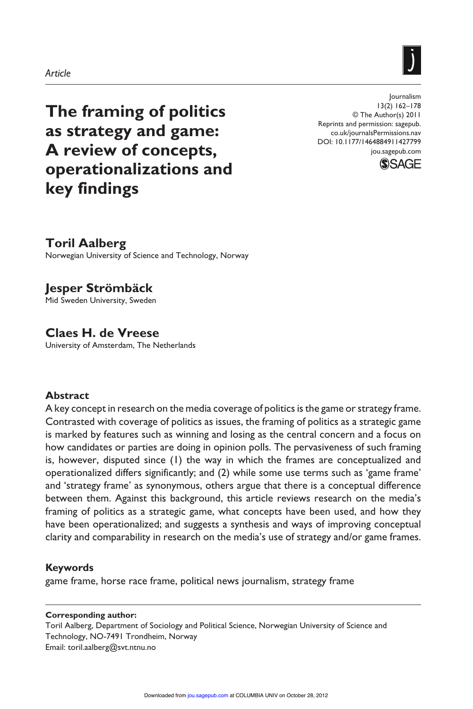#### *Article*



# **The framing of politics as strategy and game: A review of concepts, operationalizations and key findings**

Journalism 13(2) 162–178 © The Author(s) 2011 Reprints and permission: sagepub. co.uk/journalsPermissions.nav DOI: 10.1177/1464884911427799 jou.sagepub.com



# **Toril Aalberg**

Norwegian University of Science and Technology, Norway

# **Jesper Strömbäck**

Mid Sweden University, Sweden

# **Claes H. de Vreese**

University of Amsterdam, The Netherlands

## **Abstract**

A key concept in research on the media coverage of politics is the game or strategy frame. Contrasted with coverage of politics as issues, the framing of politics as a strategic game is marked by features such as winning and losing as the central concern and a focus on how candidates or parties are doing in opinion polls. The pervasiveness of such framing is, however, disputed since (1) the way in which the frames are conceptualized and operationalized differs significantly; and (2) while some use terms such as 'game frame' and 'strategy frame' as synonymous, others argue that there is a conceptual difference between them. Against this background, this article reviews research on the media's framing of politics as a strategic game, what concepts have been used, and how they have been operationalized; and suggests a synthesis and ways of improving conceptual clarity and comparability in research on the media's use of strategy and/or game frames.

## **Keywords**

game frame, horse race frame, political news journalism, strategy frame

#### **Corresponding author:**

Toril Aalberg, Department of Sociology and Political Science, Norwegian University of Science and Technology, NO-7491 Trondheim, Norway Email: toril.aalberg@svt.ntnu.no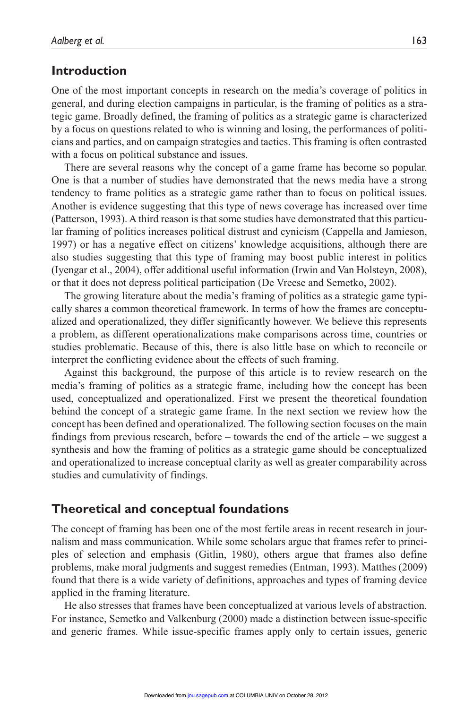## **Introduction**

One of the most important concepts in research on the media's coverage of politics in general, and during election campaigns in particular, is the framing of politics as a strategic game. Broadly defined, the framing of politics as a strategic game is characterized by a focus on questions related to who is winning and losing, the performances of politicians and parties, and on campaign strategies and tactics. This framing is often contrasted with a focus on political substance and issues.

There are several reasons why the concept of a game frame has become so popular. One is that a number of studies have demonstrated that the news media have a strong tendency to frame politics as a strategic game rather than to focus on political issues. Another is evidence suggesting that this type of news coverage has increased over time (Patterson, 1993). A third reason is that some studies have demonstrated that this particular framing of politics increases political distrust and cynicism (Cappella and Jamieson, 1997) or has a negative effect on citizens' knowledge acquisitions, although there are also studies suggesting that this type of framing may boost public interest in politics (Iyengar et al., 2004), offer additional useful information (Irwin and Van Holsteyn, 2008), or that it does not depress political participation (De Vreese and Semetko, 2002).

The growing literature about the media's framing of politics as a strategic game typically shares a common theoretical framework. In terms of how the frames are conceptualized and operationalized, they differ significantly however. We believe this represents a problem, as different operationalizations make comparisons across time, countries or studies problematic. Because of this, there is also little base on which to reconcile or interpret the conflicting evidence about the effects of such framing.

Against this background, the purpose of this article is to review research on the media's framing of politics as a strategic frame, including how the concept has been used, conceptualized and operationalized. First we present the theoretical foundation behind the concept of a strategic game frame. In the next section we review how the concept has been defined and operationalized. The following section focuses on the main findings from previous research, before – towards the end of the article – we suggest a synthesis and how the framing of politics as a strategic game should be conceptualized and operationalized to increase conceptual clarity as well as greater comparability across studies and cumulativity of findings.

## **Theoretical and conceptual foundations**

The concept of framing has been one of the most fertile areas in recent research in journalism and mass communication. While some scholars argue that frames refer to principles of selection and emphasis (Gitlin, 1980), others argue that frames also define problems, make moral judgments and suggest remedies (Entman, 1993). Matthes (2009) found that there is a wide variety of definitions, approaches and types of framing device applied in the framing literature.

He also stresses that frames have been conceptualized at various levels of abstraction. For instance, Semetko and Valkenburg (2000) made a distinction between issue-specific and generic frames. While issue-specific frames apply only to certain issues, generic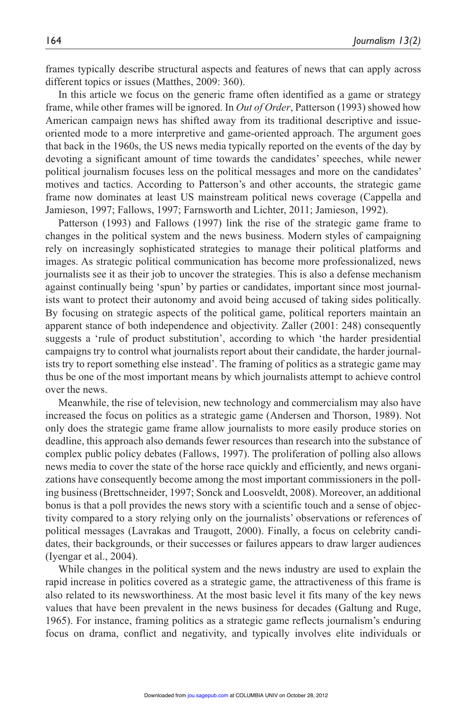frames typically describe structural aspects and features of news that can apply across different topics or issues (Matthes, 2009: 360).

In this article we focus on the generic frame often identified as a game or strategy frame, while other frames will be ignored. In *Out of Order*, Patterson (1993) showed how American campaign news has shifted away from its traditional descriptive and issueoriented mode to a more interpretive and game-oriented approach. The argument goes that back in the 1960s, the US news media typically reported on the events of the day by devoting a significant amount of time towards the candidates' speeches, while newer political journalism focuses less on the political messages and more on the candidates' motives and tactics. According to Patterson's and other accounts, the strategic game frame now dominates at least US mainstream political news coverage (Cappella and Jamieson, 1997; Fallows, 1997; Farnsworth and Lichter, 2011; Jamieson, 1992).

Patterson (1993) and Fallows (1997) link the rise of the strategic game frame to changes in the political system and the news business. Modern styles of campaigning rely on increasingly sophisticated strategies to manage their political platforms and images. As strategic political communication has become more professionalized, news journalists see it as their job to uncover the strategies. This is also a defense mechanism against continually being 'spun' by parties or candidates, important since most journalists want to protect their autonomy and avoid being accused of taking sides politically. By focusing on strategic aspects of the political game, political reporters maintain an apparent stance of both independence and objectivity. Zaller (2001: 248) consequently suggests a 'rule of product substitution', according to which 'the harder presidential campaigns try to control what journalists report about their candidate, the harder journalists try to report something else instead'. The framing of politics as a strategic game may thus be one of the most important means by which journalists attempt to achieve control over the news.

Meanwhile, the rise of television, new technology and commercialism may also have increased the focus on politics as a strategic game (Andersen and Thorson, 1989). Not only does the strategic game frame allow journalists to more easily produce stories on deadline, this approach also demands fewer resources than research into the substance of complex public policy debates (Fallows, 1997). The proliferation of polling also allows news media to cover the state of the horse race quickly and efficiently, and news organizations have consequently become among the most important commissioners in the polling business (Brettschneider, 1997; Sonck and Loosveldt, 2008). Moreover, an additional bonus is that a poll provides the news story with a scientific touch and a sense of objectivity compared to a story relying only on the journalists' observations or references of political messages (Lavrakas and Traugott, 2000). Finally, a focus on celebrity candidates, their backgrounds, or their successes or failures appears to draw larger audiences (Iyengar et al., 2004).

While changes in the political system and the news industry are used to explain the rapid increase in politics covered as a strategic game, the attractiveness of this frame is also related to its newsworthiness. At the most basic level it fits many of the key news values that have been prevalent in the news business for decades (Galtung and Ruge, 1965). For instance, framing politics as a strategic game reflects journalism's enduring focus on drama, conflict and negativity, and typically involves elite individuals or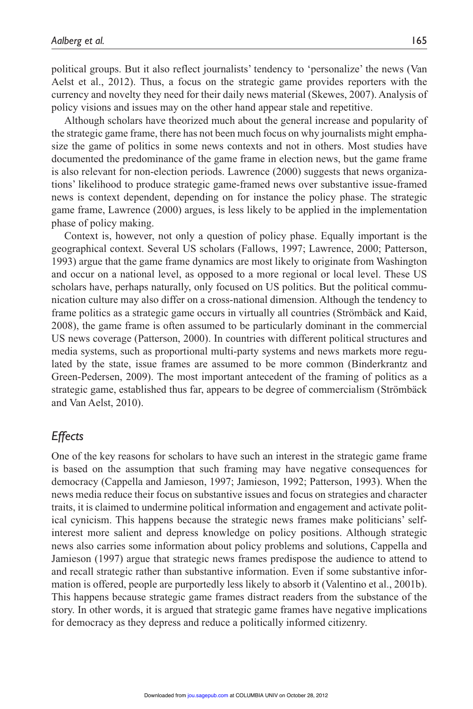political groups. But it also reflect journalists' tendency to 'personalize' the news (Van Aelst et al., 2012). Thus, a focus on the strategic game provides reporters with the currency and novelty they need for their daily news material (Skewes, 2007). Analysis of policy visions and issues may on the other hand appear stale and repetitive.

Although scholars have theorized much about the general increase and popularity of the strategic game frame, there has not been much focus on why journalists might emphasize the game of politics in some news contexts and not in others. Most studies have documented the predominance of the game frame in election news, but the game frame is also relevant for non-election periods. Lawrence (2000) suggests that news organizations' likelihood to produce strategic game-framed news over substantive issue-framed news is context dependent, depending on for instance the policy phase. The strategic game frame, Lawrence (2000) argues, is less likely to be applied in the implementation phase of policy making.

Context is, however, not only a question of policy phase. Equally important is the geographical context. Several US scholars (Fallows, 1997; Lawrence, 2000; Patterson, 1993) argue that the game frame dynamics are most likely to originate from Washington and occur on a national level, as opposed to a more regional or local level. These US scholars have, perhaps naturally, only focused on US politics. But the political communication culture may also differ on a cross-national dimension. Although the tendency to frame politics as a strategic game occurs in virtually all countries (Strömbäck and Kaid, 2008), the game frame is often assumed to be particularly dominant in the commercial US news coverage (Patterson, 2000). In countries with different political structures and media systems, such as proportional multi-party systems and news markets more regulated by the state, issue frames are assumed to be more common (Binderkrantz and Green-Pedersen, 2009). The most important antecedent of the framing of politics as a strategic game, established thus far, appears to be degree of commercialism (Strömbäck and Van Aelst, 2010).

# *Effects*

One of the key reasons for scholars to have such an interest in the strategic game frame is based on the assumption that such framing may have negative consequences for democracy (Cappella and Jamieson, 1997; Jamieson, 1992; Patterson, 1993). When the news media reduce their focus on substantive issues and focus on strategies and character traits, it is claimed to undermine political information and engagement and activate political cynicism. This happens because the strategic news frames make politicians' selfinterest more salient and depress knowledge on policy positions. Although strategic news also carries some information about policy problems and solutions, Cappella and Jamieson (1997) argue that strategic news frames predispose the audience to attend to and recall strategic rather than substantive information. Even if some substantive information is offered, people are purportedly less likely to absorb it (Valentino et al., 2001b). This happens because strategic game frames distract readers from the substance of the story. In other words, it is argued that strategic game frames have negative implications for democracy as they depress and reduce a politically informed citizenry.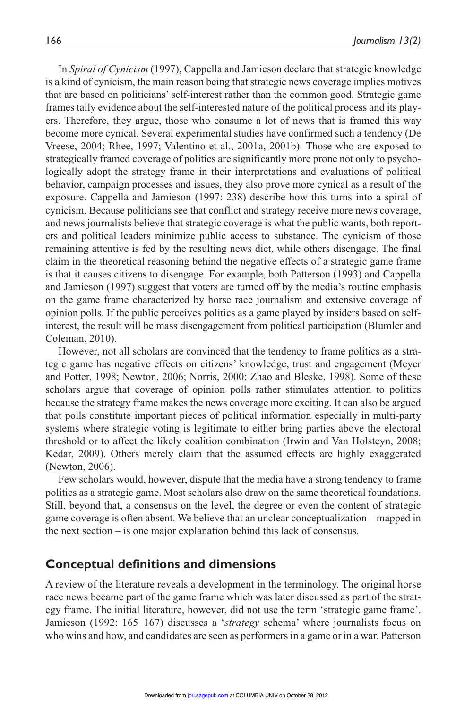In *Spiral of Cynicism* (1997), Cappella and Jamieson declare that strategic knowledge is a kind of cynicism, the main reason being that strategic news coverage implies motives that are based on politicians' self-interest rather than the common good. Strategic game frames tally evidence about the self-interested nature of the political process and its players. Therefore, they argue, those who consume a lot of news that is framed this way become more cynical. Several experimental studies have confirmed such a tendency (De Vreese, 2004; Rhee, 1997; Valentino et al., 2001a, 2001b). Those who are exposed to strategically framed coverage of politics are significantly more prone not only to psychologically adopt the strategy frame in their interpretations and evaluations of political behavior, campaign processes and issues, they also prove more cynical as a result of the exposure. Cappella and Jamieson (1997: 238) describe how this turns into a spiral of cynicism. Because politicians see that conflict and strategy receive more news coverage, and news journalists believe that strategic coverage is what the public wants, both reporters and political leaders minimize public access to substance. The cynicism of those remaining attentive is fed by the resulting news diet, while others disengage. The final claim in the theoretical reasoning behind the negative effects of a strategic game frame is that it causes citizens to disengage. For example, both Patterson (1993) and Cappella and Jamieson (1997) suggest that voters are turned off by the media's routine emphasis on the game frame characterized by horse race journalism and extensive coverage of opinion polls. If the public perceives politics as a game played by insiders based on selfinterest, the result will be mass disengagement from political participation (Blumler and Coleman, 2010).

However, not all scholars are convinced that the tendency to frame politics as a strategic game has negative effects on citizens' knowledge, trust and engagement (Meyer and Potter, 1998; Newton, 2006; Norris, 2000; Zhao and Bleske, 1998). Some of these scholars argue that coverage of opinion polls rather stimulates attention to politics because the strategy frame makes the news coverage more exciting. It can also be argued that polls constitute important pieces of political information especially in multi-party systems where strategic voting is legitimate to either bring parties above the electoral threshold or to affect the likely coalition combination (Irwin and Van Holsteyn, 2008; Kedar, 2009). Others merely claim that the assumed effects are highly exaggerated (Newton, 2006).

Few scholars would, however, dispute that the media have a strong tendency to frame politics as a strategic game. Most scholars also draw on the same theoretical foundations. Still, beyond that, a consensus on the level, the degree or even the content of strategic game coverage is often absent. We believe that an unclear conceptualization – mapped in the next section – is one major explanation behind this lack of consensus.

## **Conceptual definitions and dimensions**

A review of the literature reveals a development in the terminology. The original horse race news became part of the game frame which was later discussed as part of the strategy frame. The initial literature, however, did not use the term 'strategic game frame'. Jamieson (1992: 165–167) discusses a '*strategy* schema' where journalists focus on who wins and how, and candidates are seen as performers in a game or in a war. Patterson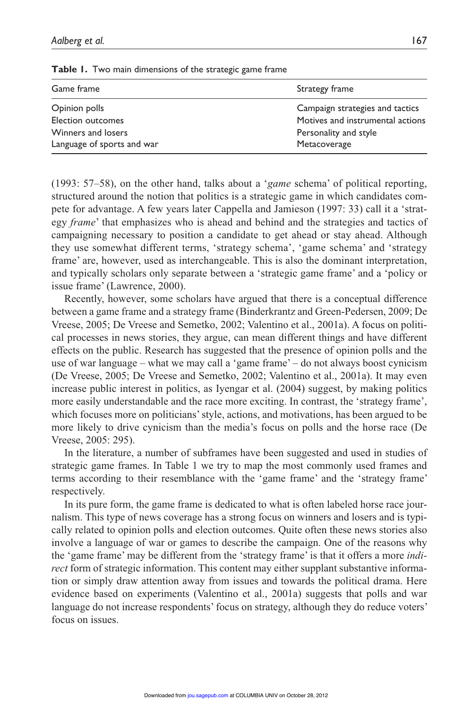| Game frame                 | Strategy frame                   |
|----------------------------|----------------------------------|
| Opinion polls              | Campaign strategies and tactics  |
| Election outcomes          | Motives and instrumental actions |
| Winners and losers         | Personality and style            |
| Language of sports and war | Metacoverage                     |

**Table 1.** Two main dimensions of the strategic game frame

(1993: 57–58), on the other hand, talks about a '*game* schema' of political reporting, structured around the notion that politics is a strategic game in which candidates compete for advantage. A few years later Cappella and Jamieson (1997: 33) call it a 'strategy *frame*' that emphasizes who is ahead and behind and the strategies and tactics of campaigning necessary to position a candidate to get ahead or stay ahead. Although they use somewhat different terms, 'strategy schema', 'game schema' and 'strategy frame' are, however, used as interchangeable. This is also the dominant interpretation, and typically scholars only separate between a 'strategic game frame' and a 'policy or issue frame' (Lawrence, 2000).

Recently, however, some scholars have argued that there is a conceptual difference between a game frame and a strategy frame (Binderkrantz and Green-Pedersen, 2009; De Vreese, 2005; De Vreese and Semetko, 2002; Valentino et al., 2001a). A focus on political processes in news stories, they argue, can mean different things and have different effects on the public. Research has suggested that the presence of opinion polls and the use of war language – what we may call a 'game frame' – do not always boost cynicism (De Vreese, 2005; De Vreese and Semetko, 2002; Valentino et al., 2001a). It may even increase public interest in politics, as Iyengar et al. (2004) suggest, by making politics more easily understandable and the race more exciting. In contrast, the 'strategy frame', which focuses more on politicians' style, actions, and motivations, has been argued to be more likely to drive cynicism than the media's focus on polls and the horse race (De Vreese, 2005: 295).

In the literature, a number of subframes have been suggested and used in studies of strategic game frames. In Table 1 we try to map the most commonly used frames and terms according to their resemblance with the 'game frame' and the 'strategy frame' respectively.

In its pure form, the game frame is dedicated to what is often labeled horse race journalism. This type of news coverage has a strong focus on winners and losers and is typically related to opinion polls and election outcomes. Quite often these news stories also involve a language of war or games to describe the campaign. One of the reasons why the 'game frame' may be different from the 'strategy frame' is that it offers a more *indirect* form of strategic information. This content may either supplant substantive information or simply draw attention away from issues and towards the political drama. Here evidence based on experiments (Valentino et al., 2001a) suggests that polls and war language do not increase respondents' focus on strategy, although they do reduce voters' focus on issues.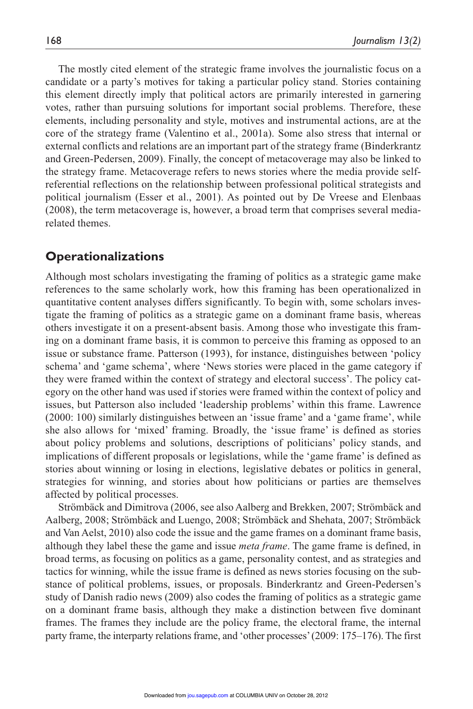The mostly cited element of the strategic frame involves the journalistic focus on a candidate or a party's motives for taking a particular policy stand. Stories containing this element directly imply that political actors are primarily interested in garnering votes, rather than pursuing solutions for important social problems. Therefore, these elements, including personality and style, motives and instrumental actions, are at the core of the strategy frame (Valentino et al., 2001a). Some also stress that internal or external conflicts and relations are an important part of the strategy frame (Binderkrantz and Green-Pedersen, 2009). Finally, the concept of metacoverage may also be linked to the strategy frame. Metacoverage refers to news stories where the media provide selfreferential reflections on the relationship between professional political strategists and political journalism (Esser et al., 2001). As pointed out by De Vreese and Elenbaas (2008), the term metacoverage is, however, a broad term that comprises several mediarelated themes.

# **Operationalizations**

Although most scholars investigating the framing of politics as a strategic game make references to the same scholarly work, how this framing has been operationalized in quantitative content analyses differs significantly. To begin with, some scholars investigate the framing of politics as a strategic game on a dominant frame basis, whereas others investigate it on a present-absent basis. Among those who investigate this framing on a dominant frame basis, it is common to perceive this framing as opposed to an issue or substance frame. Patterson (1993), for instance, distinguishes between 'policy schema' and 'game schema', where 'News stories were placed in the game category if they were framed within the context of strategy and electoral success'. The policy category on the other hand was used if stories were framed within the context of policy and issues, but Patterson also included 'leadership problems' within this frame. Lawrence (2000: 100) similarly distinguishes between an 'issue frame' and a 'game frame', while she also allows for 'mixed' framing. Broadly, the 'issue frame' is defined as stories about policy problems and solutions, descriptions of politicians' policy stands, and implications of different proposals or legislations, while the 'game frame' is defined as stories about winning or losing in elections, legislative debates or politics in general, strategies for winning, and stories about how politicians or parties are themselves affected by political processes.

Strömbäck and Dimitrova (2006, see also Aalberg and Brekken, 2007; Strömbäck and Aalberg, 2008; Strömbäck and Luengo, 2008; Strömbäck and Shehata, 2007; Strömbäck and Van Aelst, 2010) also code the issue and the game frames on a dominant frame basis, although they label these the game and issue *meta frame*. The game frame is defined, in broad terms, as focusing on politics as a game, personality contest, and as strategies and tactics for winning, while the issue frame is defined as news stories focusing on the substance of political problems, issues, or proposals. Binderkrantz and Green-Pedersen's study of Danish radio news (2009) also codes the framing of politics as a strategic game on a dominant frame basis, although they make a distinction between five dominant frames. The frames they include are the policy frame, the electoral frame, the internal party frame, the interparty relations frame, and 'other processes' (2009: 175–176). The first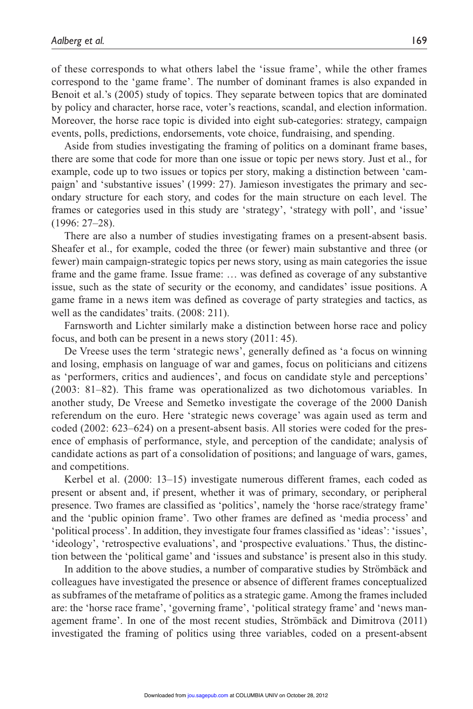of these corresponds to what others label the 'issue frame', while the other frames correspond to the 'game frame'. The number of dominant frames is also expanded in Benoit et al.'s (2005) study of topics. They separate between topics that are dominated by policy and character, horse race, voter's reactions, scandal, and election information. Moreover, the horse race topic is divided into eight sub-categories: strategy, campaign events, polls, predictions, endorsements, vote choice, fundraising, and spending.

Aside from studies investigating the framing of politics on a dominant frame bases, there are some that code for more than one issue or topic per news story. Just et al., for example, code up to two issues or topics per story, making a distinction between 'campaign' and 'substantive issues' (1999: 27). Jamieson investigates the primary and secondary structure for each story, and codes for the main structure on each level. The frames or categories used in this study are 'strategy', 'strategy with poll', and 'issue' (1996: 27–28).

There are also a number of studies investigating frames on a present-absent basis. Sheafer et al., for example, coded the three (or fewer) main substantive and three (or fewer) main campaign-strategic topics per news story, using as main categories the issue frame and the game frame. Issue frame: … was defined as coverage of any substantive issue, such as the state of security or the economy, and candidates' issue positions. A game frame in a news item was defined as coverage of party strategies and tactics, as well as the candidates' traits. (2008: 211).

Farnsworth and Lichter similarly make a distinction between horse race and policy focus, and both can be present in a news story (2011: 45).

De Vreese uses the term 'strategic news', generally defined as 'a focus on winning and losing, emphasis on language of war and games, focus on politicians and citizens as 'performers, critics and audiences', and focus on candidate style and perceptions' (2003: 81–82). This frame was operationalized as two dichotomous variables. In another study, De Vreese and Semetko investigate the coverage of the 2000 Danish referendum on the euro. Here 'strategic news coverage' was again used as term and coded (2002: 623–624) on a present-absent basis. All stories were coded for the presence of emphasis of performance, style, and perception of the candidate; analysis of candidate actions as part of a consolidation of positions; and language of wars, games, and competitions.

Kerbel et al. (2000: 13–15) investigate numerous different frames, each coded as present or absent and, if present, whether it was of primary, secondary, or peripheral presence. Two frames are classified as 'politics', namely the 'horse race/strategy frame' and the 'public opinion frame'. Two other frames are defined as 'media process' and 'political process'. In addition, they investigate four frames classified as 'ideas': 'issues', 'ideology', 'retrospective evaluations', and 'prospective evaluations.' Thus, the distinction between the 'political game' and 'issues and substance' is present also in this study.

In addition to the above studies, a number of comparative studies by Strömbäck and colleagues have investigated the presence or absence of different frames conceptualized as subframes of the metaframe of politics as a strategic game. Among the frames included are: the 'horse race frame', 'governing frame', 'political strategy frame' and 'news management frame'. In one of the most recent studies, Strömbäck and Dimitrova (2011) investigated the framing of politics using three variables, coded on a present-absent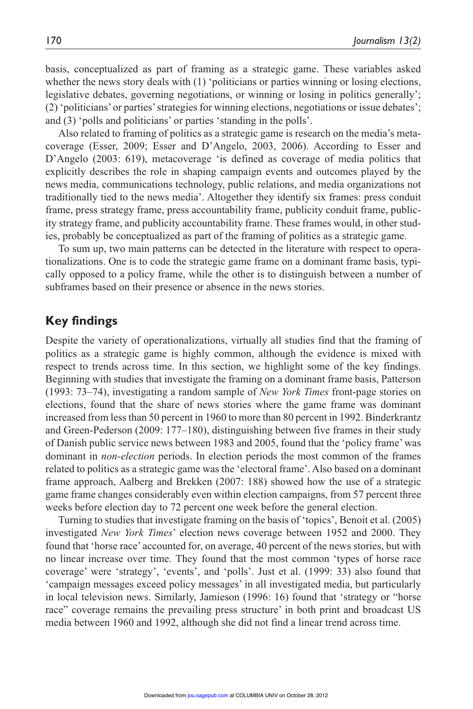basis, conceptualized as part of framing as a strategic game. These variables asked whether the news story deals with (1) 'politicians or parties winning or losing elections, legislative debates, governing negotiations, or winning or losing in politics generally'; (2) 'politicians' or parties' strategies for winning elections, negotiations or issue debates'; and (3) 'polls and politicians' or parties 'standing in the polls'.

Also related to framing of politics as a strategic game is research on the media's metacoverage (Esser, 2009; Esser and D'Angelo, 2003, 2006). According to Esser and D'Angelo (2003: 619), metacoverage 'is defined as coverage of media politics that explicitly describes the role in shaping campaign events and outcomes played by the news media, communications technology, public relations, and media organizations not traditionally tied to the news media'. Altogether they identify six frames: press conduit frame, press strategy frame, press accountability frame, publicity conduit frame, publicity strategy frame, and publicity accountability frame. These frames would, in other studies, probably be conceptualized as part of the framing of politics as a strategic game.

To sum up, two main patterns can be detected in the literature with respect to operationalizations. One is to code the strategic game frame on a dominant frame basis, typically opposed to a policy frame, while the other is to distinguish between a number of subframes based on their presence or absence in the news stories.

# **Key findings**

Despite the variety of operationalizations, virtually all studies find that the framing of politics as a strategic game is highly common, although the evidence is mixed with respect to trends across time. In this section, we highlight some of the key findings. Beginning with studies that investigate the framing on a dominant frame basis, Patterson (1993: 73–74), investigating a random sample of *New York Times* front-page stories on elections, found that the share of news stories where the game frame was dominant increased from less than 50 percent in 1960 to more than 80 percent in 1992. Binderkrantz and Green-Pederson (2009: 177–180), distinguishing between five frames in their study of Danish public service news between 1983 and 2005, found that the 'policy frame' was dominant in *non-election* periods. In election periods the most common of the frames related to politics as a strategic game was the 'electoral frame'. Also based on a dominant frame approach, Aalberg and Brekken (2007: 188) showed how the use of a strategic game frame changes considerably even within election campaigns, from 57 percent three weeks before election day to 72 percent one week before the general election.

Turning to studies that investigate framing on the basis of 'topics', Benoit et al. (2005) investigated *New York Times*' election news coverage between 1952 and 2000. They found that 'horse race' accounted for, on average, 40 percent of the news stories, but with no linear increase over time. They found that the most common 'types of horse race coverage' were 'strategy', 'events', and 'polls'. Just et al. (1999: 33) also found that 'campaign messages exceed policy messages' in all investigated media, but particularly in local television news. Similarly, Jamieson (1996: 16) found that 'strategy or "horse race" coverage remains the prevailing press structure' in both print and broadcast US media between 1960 and 1992, although she did not find a linear trend across time.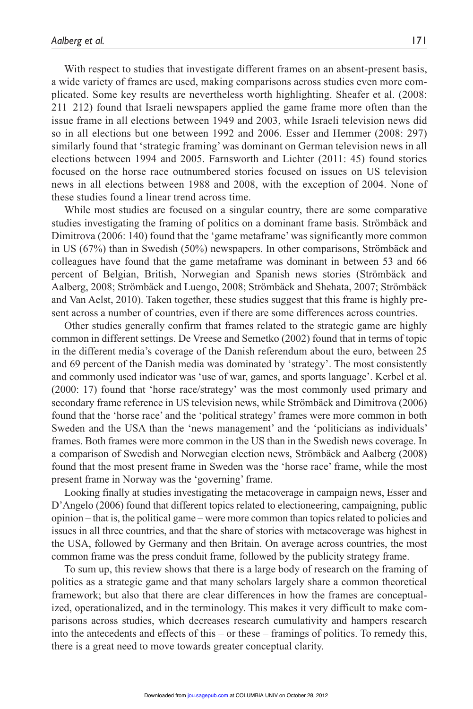With respect to studies that investigate different frames on an absent-present basis, a wide variety of frames are used, making comparisons across studies even more complicated. Some key results are nevertheless worth highlighting. Sheafer et al. (2008: 211–212) found that Israeli newspapers applied the game frame more often than the issue frame in all elections between 1949 and 2003, while Israeli television news did so in all elections but one between 1992 and 2006. Esser and Hemmer (2008: 297) similarly found that 'strategic framing' was dominant on German television news in all elections between 1994 and 2005. Farnsworth and Lichter (2011: 45) found stories focused on the horse race outnumbered stories focused on issues on US television news in all elections between 1988 and 2008, with the exception of 2004. None of these studies found a linear trend across time.

While most studies are focused on a singular country, there are some comparative studies investigating the framing of politics on a dominant frame basis. Strömbäck and Dimitrova (2006: 140) found that the 'game metaframe' was significantly more common in US (67%) than in Swedish (50%) newspapers. In other comparisons, Strömbäck and colleagues have found that the game metaframe was dominant in between 53 and 66 percent of Belgian, British, Norwegian and Spanish news stories (Strömbäck and Aalberg, 2008; Strömbäck and Luengo, 2008; Strömbäck and Shehata, 2007; Strömbäck and Van Aelst, 2010). Taken together, these studies suggest that this frame is highly present across a number of countries, even if there are some differences across countries.

Other studies generally confirm that frames related to the strategic game are highly common in different settings. De Vreese and Semetko (2002) found that in terms of topic in the different media's coverage of the Danish referendum about the euro, between 25 and 69 percent of the Danish media was dominated by 'strategy'. The most consistently and commonly used indicator was 'use of war, games, and sports language'. Kerbel et al. (2000: 17) found that 'horse race/strategy' was the most commonly used primary and secondary frame reference in US television news, while Strömbäck and Dimitrova (2006) found that the 'horse race' and the 'political strategy' frames were more common in both Sweden and the USA than the 'news management' and the 'politicians as individuals' frames. Both frames were more common in the US than in the Swedish news coverage. In a comparison of Swedish and Norwegian election news, Strömbäck and Aalberg (2008) found that the most present frame in Sweden was the 'horse race' frame, while the most present frame in Norway was the 'governing' frame.

Looking finally at studies investigating the metacoverage in campaign news, Esser and D'Angelo (2006) found that different topics related to electioneering, campaigning, public opinion – that is, the political game – were more common than topics related to policies and issues in all three countries, and that the share of stories with metacoverage was highest in the USA, followed by Germany and then Britain. On average across countries, the most common frame was the press conduit frame, followed by the publicity strategy frame.

To sum up, this review shows that there is a large body of research on the framing of politics as a strategic game and that many scholars largely share a common theoretical framework; but also that there are clear differences in how the frames are conceptualized, operationalized, and in the terminology. This makes it very difficult to make comparisons across studies, which decreases research cumulativity and hampers research into the antecedents and effects of this – or these – framings of politics. To remedy this, there is a great need to move towards greater conceptual clarity.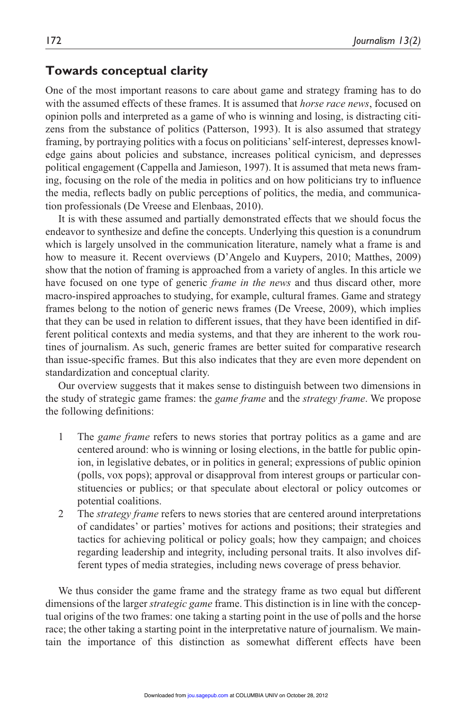## **Towards conceptual clarity**

One of the most important reasons to care about game and strategy framing has to do with the assumed effects of these frames. It is assumed that *horse race news*, focused on opinion polls and interpreted as a game of who is winning and losing, is distracting citizens from the substance of politics (Patterson, 1993). It is also assumed that strategy framing, by portraying politics with a focus on politicians' self-interest, depresses knowledge gains about policies and substance, increases political cynicism, and depresses political engagement (Cappella and Jamieson, 1997). It is assumed that meta news framing, focusing on the role of the media in politics and on how politicians try to influence the media, reflects badly on public perceptions of politics, the media, and communication professionals (De Vreese and Elenbaas, 2010).

It is with these assumed and partially demonstrated effects that we should focus the endeavor to synthesize and define the concepts. Underlying this question is a conundrum which is largely unsolved in the communication literature, namely what a frame is and how to measure it. Recent overviews (D'Angelo and Kuypers, 2010; Matthes, 2009) show that the notion of framing is approached from a variety of angles. In this article we have focused on one type of generic *frame in the news* and thus discard other, more macro-inspired approaches to studying, for example, cultural frames. Game and strategy frames belong to the notion of generic news frames (De Vreese, 2009), which implies that they can be used in relation to different issues, that they have been identified in different political contexts and media systems, and that they are inherent to the work routines of journalism. As such, generic frames are better suited for comparative research than issue-specific frames. But this also indicates that they are even more dependent on standardization and conceptual clarity.

Our overview suggests that it makes sense to distinguish between two dimensions in the study of strategic game frames: the *game frame* and the *strategy frame*. We propose the following definitions:

- 1 The *game frame* refers to news stories that portray politics as a game and are centered around: who is winning or losing elections, in the battle for public opinion, in legislative debates, or in politics in general; expressions of public opinion (polls, vox pops); approval or disapproval from interest groups or particular constituencies or publics; or that speculate about electoral or policy outcomes or potential coalitions.
- 2 The *strategy frame* refers to news stories that are centered around interpretations of candidates' or parties' motives for actions and positions; their strategies and tactics for achieving political or policy goals; how they campaign; and choices regarding leadership and integrity, including personal traits. It also involves different types of media strategies, including news coverage of press behavior.

We thus consider the game frame and the strategy frame as two equal but different dimensions of the larger *strategic game* frame. This distinction is in line with the conceptual origins of the two frames: one taking a starting point in the use of polls and the horse race; the other taking a starting point in the interpretative nature of journalism. We maintain the importance of this distinction as somewhat different effects have been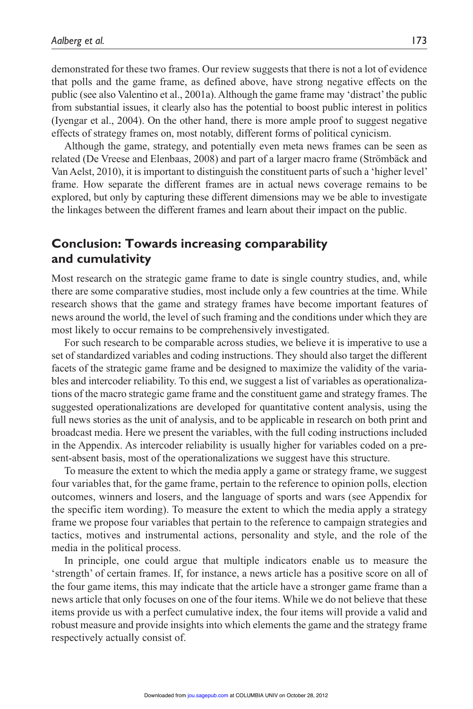demonstrated for these two frames. Our review suggests that there is not a lot of evidence that polls and the game frame, as defined above, have strong negative effects on the public (see also Valentino et al., 2001a). Although the game frame may 'distract' the public from substantial issues, it clearly also has the potential to boost public interest in politics (Iyengar et al., 2004). On the other hand, there is more ample proof to suggest negative effects of strategy frames on, most notably, different forms of political cynicism.

Although the game, strategy, and potentially even meta news frames can be seen as related (De Vreese and Elenbaas, 2008) and part of a larger macro frame (Strömbäck and Van Aelst, 2010), it is important to distinguish the constituent parts of such a 'higher level' frame. How separate the different frames are in actual news coverage remains to be explored, but only by capturing these different dimensions may we be able to investigate the linkages between the different frames and learn about their impact on the public.

# **Conclusion: Towards increasing comparability and cumulativity**

Most research on the strategic game frame to date is single country studies, and, while there are some comparative studies, most include only a few countries at the time. While research shows that the game and strategy frames have become important features of news around the world, the level of such framing and the conditions under which they are most likely to occur remains to be comprehensively investigated.

For such research to be comparable across studies, we believe it is imperative to use a set of standardized variables and coding instructions. They should also target the different facets of the strategic game frame and be designed to maximize the validity of the variables and intercoder reliability. To this end, we suggest a list of variables as operationalizations of the macro strategic game frame and the constituent game and strategy frames. The suggested operationalizations are developed for quantitative content analysis, using the full news stories as the unit of analysis, and to be applicable in research on both print and broadcast media. Here we present the variables, with the full coding instructions included in the Appendix. As intercoder reliability is usually higher for variables coded on a present-absent basis, most of the operationalizations we suggest have this structure.

To measure the extent to which the media apply a game or strategy frame, we suggest four variables that, for the game frame, pertain to the reference to opinion polls, election outcomes, winners and losers, and the language of sports and wars (see Appendix for the specific item wording). To measure the extent to which the media apply a strategy frame we propose four variables that pertain to the reference to campaign strategies and tactics, motives and instrumental actions, personality and style, and the role of the media in the political process.

In principle, one could argue that multiple indicators enable us to measure the 'strength' of certain frames. If, for instance, a news article has a positive score on all of the four game items, this may indicate that the article have a stronger game frame than a news article that only focuses on one of the four items. While we do not believe that these items provide us with a perfect cumulative index, the four items will provide a valid and robust measure and provide insights into which elements the game and the strategy frame respectively actually consist of.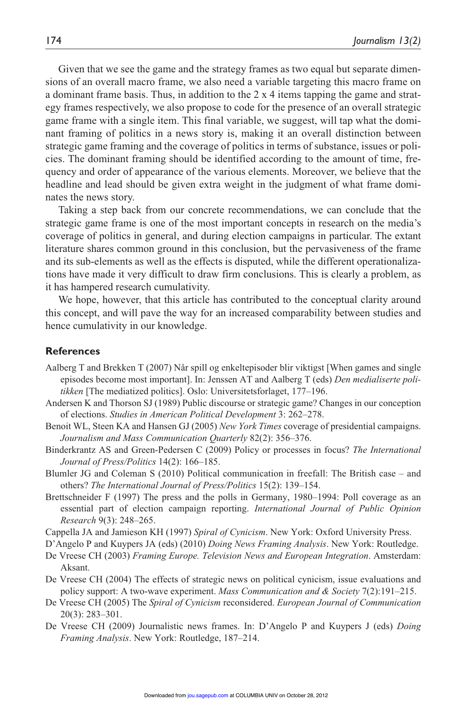Given that we see the game and the strategy frames as two equal but separate dimensions of an overall macro frame, we also need a variable targeting this macro frame on a dominant frame basis. Thus, in addition to the  $2 \times 4$  items tapping the game and strategy frames respectively, we also propose to code for the presence of an overall strategic game frame with a single item. This final variable, we suggest, will tap what the dominant framing of politics in a news story is, making it an overall distinction between strategic game framing and the coverage of politics in terms of substance, issues or policies. The dominant framing should be identified according to the amount of time, frequency and order of appearance of the various elements. Moreover, we believe that the headline and lead should be given extra weight in the judgment of what frame dominates the news story.

Taking a step back from our concrete recommendations, we can conclude that the strategic game frame is one of the most important concepts in research on the media's coverage of politics in general, and during election campaigns in particular. The extant literature shares common ground in this conclusion, but the pervasiveness of the frame and its sub-elements as well as the effects is disputed, while the different operationalizations have made it very difficult to draw firm conclusions. This is clearly a problem, as it has hampered research cumulativity.

We hope, however, that this article has contributed to the conceptual clarity around this concept, and will pave the way for an increased comparability between studies and hence cumulativity in our knowledge.

#### **References**

- Aalberg T and Brekken T (2007) Når spill og enkeltepisoder blir viktigst [When games and single episodes become most important]. In: Jenssen AT and Aalberg T (eds) *Den medialiserte politikken* [The mediatized politics]. Oslo: Universitetsforlaget, 177–196.
- Andersen K and Thorson SJ (1989) Public discourse or strategic game? Changes in our conception of elections. *Studies in American Political Development* 3: 262–278.
- Benoit WL, Steen KA and Hansen GJ (2005) *New York Times* coverage of presidential campaigns. *Journalism and Mass Communication Quarterly* 82(2): 356–376.
- Binderkrantz AS and Green-Pedersen C (2009) Policy or processes in focus? *The International Journal of Press/Politics* 14(2): 166–185.
- Blumler JG and Coleman S (2010) Political communication in freefall: The British case and others? *The International Journal of Press/Politics* 15(2): 139–154.
- Brettschneider F (1997) The press and the polls in Germany, 1980–1994: Poll coverage as an essential part of election campaign reporting. *International Journal of Public Opinion Research* 9(3): 248–265.
- Cappella JA and Jamieson KH (1997) *Spiral of Cynicism*. New York: Oxford University Press.
- D'Angelo P and Kuypers JA (eds) (2010) *Doing News Framing Analysis*. New York: Routledge.
- De Vreese CH (2003) *Framing Europe. Television News and European Integration*. Amsterdam: Aksant.
- De Vreese CH (2004) The effects of strategic news on political cynicism, issue evaluations and policy support: A two-wave experiment. *Mass Communication and & Society* 7(2):191–215.
- De Vreese CH (2005) The *Spiral of Cynicism* reconsidered. *European Journal of Communication* 20(3): 283–301.
- De Vreese CH (2009) Journalistic news frames. In: D'Angelo P and Kuypers J (eds) *Doing Framing Analysis*. New York: Routledge, 187–214.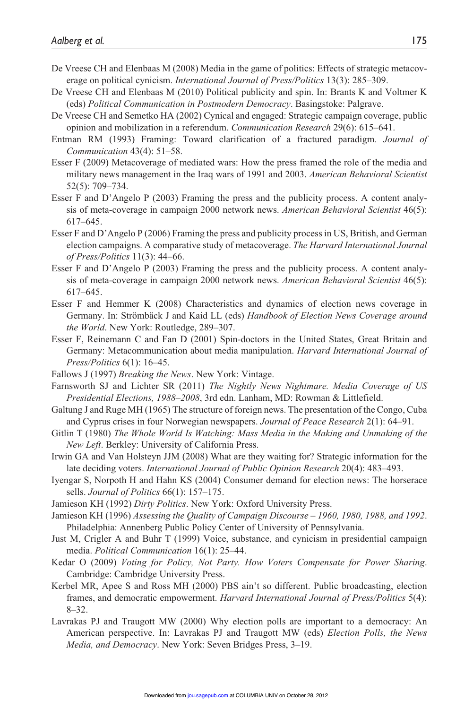- De Vreese CH and Elenbaas M (2008) Media in the game of politics: Effects of strategic metacoverage on political cynicism. *International Journal of Press/Politics* 13(3): 285–309.
- De Vreese CH and Elenbaas M (2010) Political publicity and spin. In: Brants K and Voltmer K (eds) *Political Communication in Postmodern Democracy*. Basingstoke: Palgrave.
- De Vreese CH and Semetko HA (2002) Cynical and engaged: Strategic campaign coverage, public opinion and mobilization in a referendum. *Communication Research* 29(6): 615–641.
- Entman RM (1993) Framing: Toward clarification of a fractured paradigm. *Journal of Communication* 43(4): 51–58.
- Esser F (2009) Metacoverage of mediated wars: How the press framed the role of the media and military news management in the Iraq wars of 1991 and 2003. *American Behavioral Scientist* 52(5): 709–734.
- Esser F and D'Angelo P (2003) Framing the press and the publicity process. A content analysis of meta-coverage in campaign 2000 network news. *American Behavioral Scientist* 46(5): 617–645.
- Esser F and D'Angelo P (2006) Framing the press and publicity process in US, British, and German election campaigns. A comparative study of metacoverage. *The Harvard International Journal of Press/Politics* 11(3): 44–66.
- Esser F and D'Angelo P (2003) Framing the press and the publicity process. A content analysis of meta-coverage in campaign 2000 network news. *American Behavioral Scientist* 46(5): 617–645.
- Esser F and Hemmer K (2008) Characteristics and dynamics of election news coverage in Germany. In: Strömbäck J and Kaid LL (eds) *Handbook of Election News Coverage around the World*. New York: Routledge, 289–307.
- Esser F, Reinemann C and Fan D (2001) Spin-doctors in the United States, Great Britain and Germany: Metacommunication about media manipulation. *Harvard International Journal of Press/Politics* 6(1): 16–45.
- Fallows J (1997) *Breaking the News*. New York: Vintage.
- Farnsworth SJ and Lichter SR (2011) *The Nightly News Nightmare. Media Coverage of US Presidential Elections, 1988–2008*, 3rd edn. Lanham, MD: Rowman & Littlefield.
- Galtung J and Ruge MH (1965) The structure of foreign news. The presentation of the Congo, Cuba and Cyprus crises in four Norwegian newspapers. *Journal of Peace Research* 2(1): 64–91.
- Gitlin T (1980) *The Whole World Is Watching: Mass Media in the Making and Unmaking of the New Left*. Berkley: University of California Press.
- Irwin GA and Van Holsteyn JJM (2008) What are they waiting for? Strategic information for the late deciding voters. *International Journal of Public Opinion Research* 20(4): 483–493.
- Iyengar S, Norpoth H and Hahn KS (2004) Consumer demand for election news: The horserace sells. *Journal of Politics* 66(1): 157–175.
- Jamieson KH (1992) *Dirty Politics*. New York: Oxford University Press.
- Jamieson KH (1996) *Assessing the Quality of Campaign Discourse 1960, 1980, 1988, and 1992*. Philadelphia: Annenberg Public Policy Center of University of Pennsylvania.
- Just M, Crigler A and Buhr T (1999) Voice, substance, and cynicism in presidential campaign media. *Political Communication* 16(1): 25–44.
- Kedar O (2009) *Voting for Policy, Not Party. How Voters Compensate for Power Sharing*. Cambridge: Cambridge University Press.
- Kerbel MR, Apee S and Ross MH (2000) PBS ain't so different. Public broadcasting, election frames, and democratic empowerment. *Harvard International Journal of Press/Politics* 5(4): 8–32.
- Lavrakas PJ and Traugott MW (2000) Why election polls are important to a democracy: An American perspective. In: Lavrakas PJ and Traugott MW (eds) *Election Polls, the News Media, and Democracy*. New York: Seven Bridges Press, 3–19.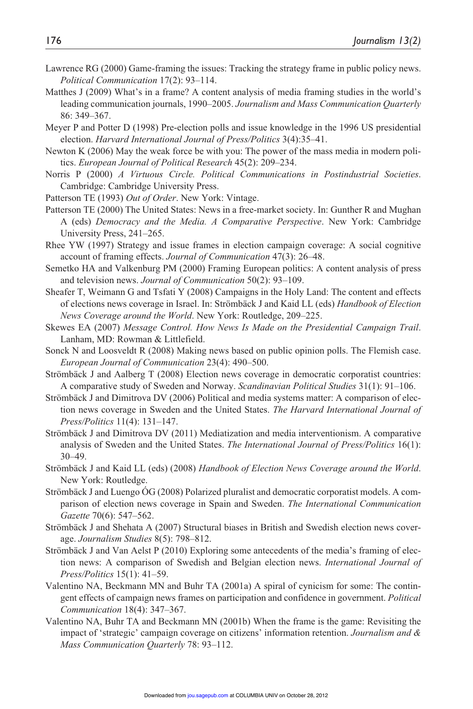- Lawrence RG (2000) Game-framing the issues: Tracking the strategy frame in public policy news. *Political Communication* 17(2): 93–114.
- Matthes J (2009) What's in a frame? A content analysis of media framing studies in the world's leading communication journals, 1990–2005. *Journalism and Mass Communication Quarterly* 86: 349–367.
- Meyer P and Potter D (1998) Pre-election polls and issue knowledge in the 1996 US presidential election. *Harvard International Journal of Press/Politics* 3(4):35–41.
- Newton K (2006) May the weak force be with you: The power of the mass media in modern politics. *European Journal of Political Research* 45(2): 209–234.
- Norris P (2000) *A Virtuous Circle. Political Communications in Postindustrial Societies*. Cambridge: Cambridge University Press.
- Patterson TE (1993) *Out of Order*. New York: Vintage.
- Patterson TE (2000) The United States: News in a free-market society. In: Gunther R and Mughan A (eds) *Democracy and the Media. A Comparative Perspective*. New York: Cambridge University Press, 241–265.
- Rhee YW (1997) Strategy and issue frames in election campaign coverage: A social cognitive account of framing effects. *Journal of Communication* 47(3): 26–48.
- Semetko HA and Valkenburg PM (2000) Framing European politics: A content analysis of press and television news. *Journal of Communication* 50(2): 93–109.
- Sheafer T, Weimann G and Tsfati Y (2008) Campaigns in the Holy Land: The content and effects of elections news coverage in Israel. In: Strömbäck J and Kaid LL (eds) *Handbook of Election News Coverage around the World*. New York: Routledge, 209–225.
- Skewes EA (2007) *Message Control. How News Is Made on the Presidential Campaign Trail*. Lanham, MD: Rowman & Littlefield.
- Sonck N and Loosveldt R (2008) Making news based on public opinion polls. The Flemish case. *European Journal of Communication* 23(4): 490–500.
- Strömbäck J and Aalberg T (2008) Election news coverage in democratic corporatist countries: A comparative study of Sweden and Norway. *Scandinavian Political Studies* 31(1): 91–106.
- Strömbäck J and Dimitrova DV (2006) Political and media systems matter: A comparison of election news coverage in Sweden and the United States. *The Harvard International Journal of Press/Politics* 11(4): 131–147.
- Strömbäck J and Dimitrova DV (2011) Mediatization and media interventionism. A comparative analysis of Sweden and the United States. *The International Journal of Press/Politics* 16(1): 30–49.
- Strömbäck J and Kaid LL (eds) (2008) *Handbook of Election News Coverage around the World*. New York: Routledge.
- Strömbäck J and Luengo ÓG (2008) Polarized pluralist and democratic corporatist models. A comparison of election news coverage in Spain and Sweden. *The International Communication Gazette* 70(6): 547–562.
- Strömbäck J and Shehata A (2007) Structural biases in British and Swedish election news coverage. *Journalism Studies* 8(5): 798–812.
- Strömbäck J and Van Aelst P (2010) Exploring some antecedents of the media's framing of election news: A comparison of Swedish and Belgian election news. *International Journal of Press/Politics* 15(1): 41–59.
- Valentino NA, Beckmann MN and Buhr TA (2001a) A spiral of cynicism for some: The contingent effects of campaign news frames on participation and confidence in government. *Political Communication* 18(4): 347–367.
- Valentino NA, Buhr TA and Beckmann MN (2001b) When the frame is the game: Revisiting the impact of 'strategic' campaign coverage on citizens' information retention. *Journalism and & Mass Communication Quarterly* 78: 93–112.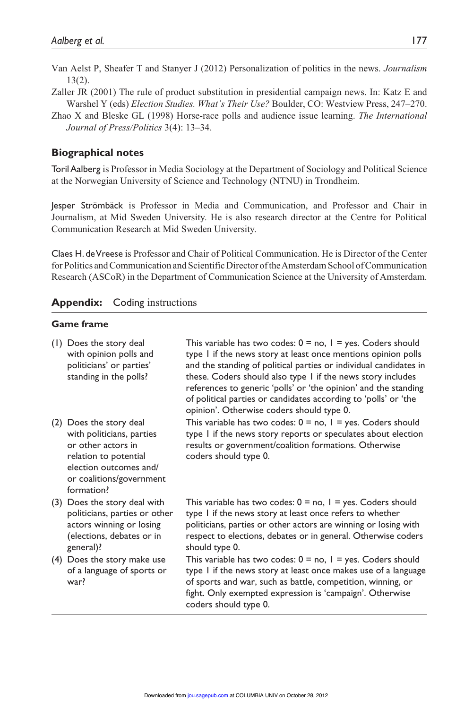Van Aelst P, Sheafer T and Stanyer J (2012) Personalization of politics in the news. *Journalism* 13(2).

- Zaller JR (2001) The rule of product substitution in presidential campaign news. In: Katz E and Warshel Y (eds) *Election Studies. What's Their Use?* Boulder, CO: Westview Press, 247–270.
- Zhao X and Bleske GL (1998) Horse-race polls and audience issue learning. *The International Journal of Press/Politics* 3(4): 13–34.

## **Biographical notes**

Toril Aalberg is Professor in Media Sociology at the Department of Sociology and Political Science at the Norwegian University of Science and Technology (NTNU) in Trondheim.

Jesper Strömbäck is Professor in Media and Communication, and Professor and Chair in Journalism, at Mid Sweden University. He is also research director at the Centre for Political Communication Research at Mid Sweden University.

Claes H. de Vreese is Professor and Chair of Political Communication. He is Director of the Center for Politics and Communication and Scientific Director of the Amsterdam School of Communication Research (ASCoR) in the Department of Communication Science at the University of Amsterdam.

### **Appendix:** Coding instructions

#### **Game frame**

| (1) Does the story deal<br>with opinion polls and<br>politicians' or parties'<br>standing in the polls?                                                                 | This variable has two codes: $0 = no$ , $1 = yes$ . Coders should<br>type I if the news story at least once mentions opinion polls<br>and the standing of political parties or individual candidates in<br>these. Coders should also type I if the news story includes<br>references to generic 'polls' or 'the opinion' and the standing<br>of political parties or candidates according to 'polls' or 'the<br>opinion'. Otherwise coders should type 0. |
|-------------------------------------------------------------------------------------------------------------------------------------------------------------------------|-----------------------------------------------------------------------------------------------------------------------------------------------------------------------------------------------------------------------------------------------------------------------------------------------------------------------------------------------------------------------------------------------------------------------------------------------------------|
| (2) Does the story deal<br>with politicians, parties<br>or other actors in<br>relation to potential<br>election outcomes and/<br>or coalitions/government<br>formation? | This variable has two codes: $0 = no$ , $1 = yes$ . Coders should<br>type I if the news story reports or speculates about election<br>results or government/coalition formations. Otherwise<br>coders should type 0.                                                                                                                                                                                                                                      |
| (3) Does the story deal with<br>politicians, parties or other<br>actors winning or losing<br>(elections, debates or in<br>general)?                                     | This variable has two codes: $0 = no$ , $1 = yes$ . Coders should<br>type I if the news story at least once refers to whether<br>politicians, parties or other actors are winning or losing with<br>respect to elections, debates or in general. Otherwise coders<br>should type 0.                                                                                                                                                                       |
| (4) Does the story make use<br>of a language of sports or<br>war?                                                                                                       | This variable has two codes: $0 = no$ , $1 = yes$ . Coders should<br>type I if the news story at least once makes use of a language<br>of sports and war, such as battle, competition, winning, or<br>fight. Only exempted expression is 'campaign'. Otherwise<br>coders should type 0.                                                                                                                                                                   |